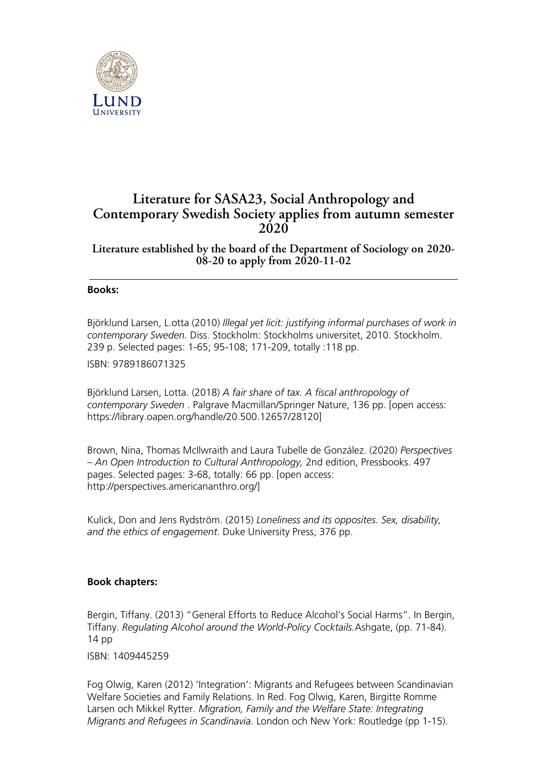

## **Literature for SASA23, Social Anthropology and Contemporary Swedish Society applies from autumn semester 2020**

**Literature established by the board of the Department of Sociology on 2020- 08-20 to apply from 2020-11-02**

## **Books:**

Björklund Larsen, L.otta (2010) *Illegal yet licit: justifying informal purchases of work in contemporary Sweden.* Diss. Stockholm: Stockholms universitet, 2010. Stockholm. 239 p. Selected pages: 1-65; 95-108; 171-209, totally :118 pp.

ISBN: 9789186071325

Björklund Larsen, Lotta. (2018) *A fair share of tax. A fiscal anthropology of contemporary Sweden* . Palgrave Macmillan/Springer Nature, 136 pp. [open access: https://library.oapen.org/handle/20.500.12657/28120]

Brown, Nina, Thomas McIlwraith and Laura Tubelle de González. (2020) *Perspectives – An Open Introduction to Cultural Anthropology,* 2nd edition, Pressbooks. 497 pages. Selected pages: 3-68, totally: 66 pp. [open access: http://perspectives.americananthro.org/]

Kulick, Don and Jens Rydström. (2015) *Loneliness and its opposites. Sex, disability, and the ethics of engagement.* Duke University Press, 376 pp.

## **Book chapters:**

Bergin, Tiffany. (2013) "General Efforts to Reduce Alcohol's Social Harms". In Bergin, Tiffany. *Regulating Alcohol around the World-Policy Cocktails.*Ashgate, (pp. 71-84). 14 pp

ISBN: 1409445259

Fog Olwig, Karen (2012) 'Integration': Migrants and Refugees between Scandinavian Welfare Societies and Family Relations. In Red. Fog Olwig, Karen, Birgitte Romme Larsen och Mikkel Rytter. *Migration, Family and the Welfare State: Integrating Migrants and Refugees in Scandinavia*. London och New York: Routledge (pp 1-15).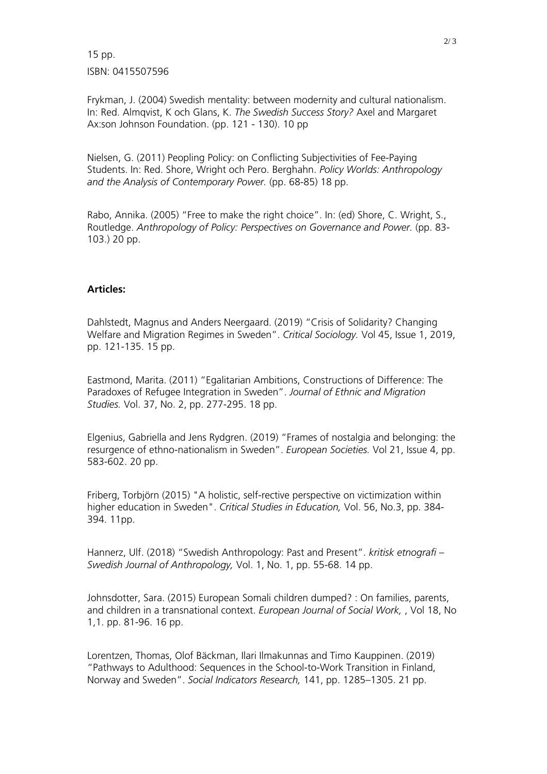15 pp. ISBN: 0415507596

Frykman, J. (2004) Swedish mentality: between modernity and cultural nationalism. In: Red. Almqvist, K och Glans, K. *The Swedish Success Story?* Axel and Margaret Ax:son Johnson Foundation. (pp. 121 - 130). 10 pp

Nielsen, G. (2011) Peopling Policy: on Conflicting Subjectivities of Fee-Paying Students. In: Red. Shore, Wright och Pero. Berghahn. *Policy Worlds: Anthropology and the Analysis of Contemporary Power.* (pp. 68-85) 18 pp.

Rabo, Annika. (2005) "Free to make the right choice". In: (ed) Shore, C. Wright, S., Routledge. *Anthropology of Policy: Perspectives on Governance and Power.* (pp. 83- 103.) 20 pp.

## **Articles:**

Dahlstedt, Magnus and Anders Neergaard. (2019) "Crisis of Solidarity? Changing Welfare and Migration Regimes in Sweden". *Critical Sociology.* Vol 45, Issue 1, 2019, pp. 121-135. 15 pp.

Eastmond, Marita. (2011) "Egalitarian Ambitions, Constructions of Difference: The Paradoxes of Refugee Integration in Sweden". *Journal of Ethnic and Migration Studies.* Vol. 37, No. 2, pp. 277-295. 18 pp.

Elgenius, Gabriella and Jens Rydgren. (2019) "Frames of nostalgia and belonging: the resurgence of ethno-nationalism in Sweden". *European Societies.* Vol 21, Issue 4, pp. 583-602. 20 pp.

Friberg, Torbjörn (2015) "A holistic, self-rective perspective on victimization within higher education in Sweden". *Critical Studies in Education,* Vol. 56, No.3, pp. 384- 394. 11pp.

Hannerz, Ulf. (2018) "Swedish Anthropology: Past and Present". *kritisk etnografi – Swedish Journal of Anthropology,* Vol. 1, No. 1, pp. 55-68. 14 pp.

Johnsdotter, Sara. (2015) European Somali children dumped? : On families, parents, and children in a transnational context. *European Journal of Social Work,* , Vol 18, No 1,1. pp. 81-96. 16 pp.

Lorentzen, Thomas, Olof Bäckman, Ilari Ilmakunnas and Timo Kauppinen. (2019) "Pathways to Adulthood: Sequences in the School-to-Work Transition in Finland, Norway and Sweden". *Social Indicators Research,* 141, pp. 1285–1305. 21 pp.